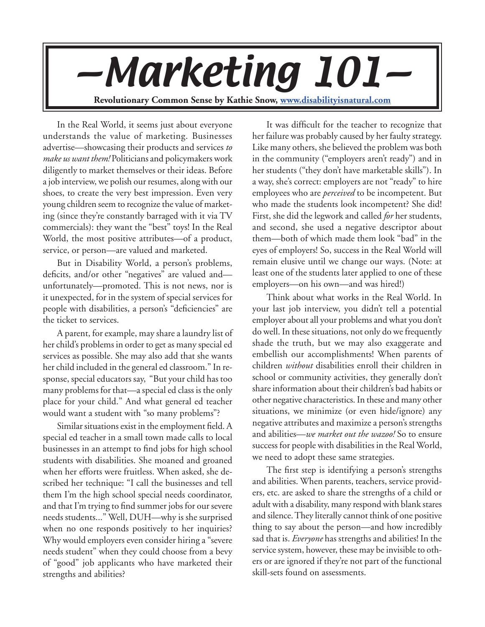**Revolutionary Common Sense by Kathie Snow, www.disabilityisnatural.com** —Marketing 101—

In the Real World, it seems just about everyone understands the value of marketing. Businesses advertise—showcasing their products and services *to make us want them!* Politicians and policymakers work diligently to market themselves or their ideas. Before a job interview, we polish our resumes, along with our shoes, to create the very best impression. Even very young children seem to recognize the value of marketing (since they're constantly barraged with it via TV commercials): they want the "best" toys! In the Real World, the most positive attributes—of a product, service, or person—are valued and marketed.

But in Disability World, a person's problems, deficits, and/or other "negatives" are valued and unfortunately—promoted. This is not news, nor is it unexpected, for in the system of special services for people with disabilities, a person's "deficiencies" are the ticket to services.

A parent, for example, may share a laundry list of her child's problems in order to get as many special ed services as possible. She may also add that she wants her child included in the general ed classroom." In response, special educators say, "But your child has too many problems for that—a special ed class is the only place for your child." And what general ed teacher would want a student with "so many problems"?

Similar situations exist in the employment field. A special ed teacher in a small town made calls to local businesses in an attempt to find jobs for high school students with disabilities. She moaned and groaned when her efforts were fruitless. When asked, she described her technique: "I call the businesses and tell them I'm the high school special needs coordinator, and that I'm trying to find summer jobs for our severe needs students..." Well, DUH—why is she surprised when no one responds positively to her inquiries? Why would employers even consider hiring a "severe needs student" when they could choose from a bevy of "good" job applicants who have marketed their strengths and abilities?

It was difficult for the teacher to recognize that her failure was probably caused by her faulty strategy. Like many others, she believed the problem was both in the community ("employers aren't ready") and in her students ("they don't have marketable skills"). In a way, she's correct: employers are not "ready" to hire employees who are *perceived* to be incompetent. But who made the students look incompetent? She did! First, she did the legwork and called *for* her students, and second, she used a negative descriptor about them—both of which made them look "bad" in the eyes of employers! So, success in the Real World will remain elusive until we change our ways. (Note: at least one of the students later applied to one of these employers—on his own—and was hired!)

Think about what works in the Real World. In your last job interview, you didn't tell a potential employer about all your problems and what you don't do well. In these situations, not only do we frequently shade the truth, but we may also exaggerate and embellish our accomplishments! When parents of children *without* disabilities enroll their children in school or community activities, they generally don't share information about their children's bad habits or other negative characteristics. In these and many other situations, we minimize (or even hide/ignore) any negative attributes and maximize a person's strengths and abilities—*we market out the wazoo!* So to ensure success for people with disabilities in the Real World, we need to adopt these same strategies.

The first step is identifying a person's strengths and abilities. When parents, teachers, service providers, etc. are asked to share the strengths of a child or adult with a disability, many respond with blank stares and silence. They literally cannot think of one positive thing to say about the person—and how incredibly sad that is. *Everyone* has strengths and abilities! In the service system, however, these may be invisible to others or are ignored if they're not part of the functional skill-sets found on assessments.